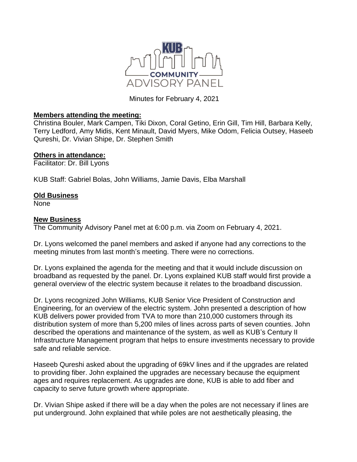

Minutes for February 4, 2021

## **Members attending the meeting:**

Christina Bouler, Mark Campen, Tiki Dixon, Coral Getino, Erin Gill, Tim Hill, Barbara Kelly, Terry Ledford, Amy Midis, Kent Minault, David Myers, Mike Odom, Felicia Outsey, Haseeb Qureshi, Dr. Vivian Shipe, Dr. Stephen Smith

## **Others in attendance:**

Facilitator: Dr. Bill Lyons

KUB Staff: Gabriel Bolas, John Williams, Jamie Davis, Elba Marshall

## **Old Business**

None

## **New Business**

The Community Advisory Panel met at 6:00 p.m. via Zoom on February 4, 2021.

Dr. Lyons welcomed the panel members and asked if anyone had any corrections to the meeting minutes from last month's meeting. There were no corrections.

Dr. Lyons explained the agenda for the meeting and that it would include discussion on broadband as requested by the panel. Dr. Lyons explained KUB staff would first provide a general overview of the electric system because it relates to the broadband discussion.

Dr. Lyons recognized John Williams, KUB Senior Vice President of Construction and Engineering, for an overview of the electric system. John presented a description of how KUB delivers power provided from TVA to more than 210,000 customers through its distribution system of more than 5,200 miles of lines across parts of seven counties. John described the operations and maintenance of the system, as well as KUB's Century II Infrastructure Management program that helps to ensure investments necessary to provide safe and reliable service.

Haseeb Qureshi asked about the upgrading of 69kV lines and if the upgrades are related to providing fiber. John explained the upgrades are necessary because the equipment ages and requires replacement. As upgrades are done, KUB is able to add fiber and capacity to serve future growth where appropriate.

Dr. Vivian Shipe asked if there will be a day when the poles are not necessary if lines are put underground. John explained that while poles are not aesthetically pleasing, the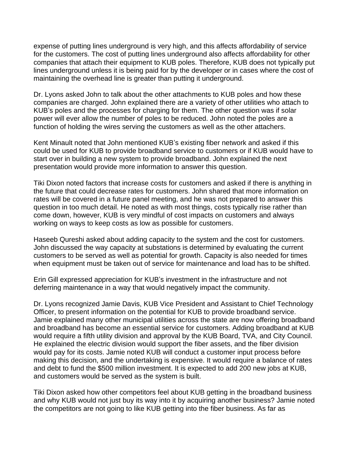expense of putting lines underground is very high, and this affects affordability of service for the customers. The cost of putting lines underground also affects affordability for other companies that attach their equipment to KUB poles. Therefore, KUB does not typically put lines underground unless it is being paid for by the developer or in cases where the cost of maintaining the overhead line is greater than putting it underground.

Dr. Lyons asked John to talk about the other attachments to KUB poles and how these companies are charged. John explained there are a variety of other utilities who attach to KUB's poles and the processes for charging for them. The other question was if solar power will ever allow the number of poles to be reduced. John noted the poles are a function of holding the wires serving the customers as well as the other attachers.

Kent Minault noted that John mentioned KUB's existing fiber network and asked if this could be used for KUB to provide broadband service to customers or if KUB would have to start over in building a new system to provide broadband. John explained the next presentation would provide more information to answer this question.

Tiki Dixon noted factors that increase costs for customers and asked if there is anything in the future that could decrease rates for customers. John shared that more information on rates will be covered in a future panel meeting, and he was not prepared to answer this question in too much detail. He noted as with most things, costs typically rise rather than come down, however, KUB is very mindful of cost impacts on customers and always working on ways to keep costs as low as possible for customers.

Haseeb Qureshi asked about adding capacity to the system and the cost for customers. John discussed the way capacity at substations is determined by evaluating the current customers to be served as well as potential for growth. Capacity is also needed for times when equipment must be taken out of service for maintenance and load has to be shifted.

Erin Gill expressed appreciation for KUB's investment in the infrastructure and not deferring maintenance in a way that would negatively impact the community.

Dr. Lyons recognized Jamie Davis, KUB Vice President and Assistant to Chief Technology Officer, to present information on the potential for KUB to provide broadband service. Jamie explained many other municipal utilities across the state are now offering broadband and broadband has become an essential service for customers. Adding broadband at KUB would require a fifth utility division and approval by the KUB Board, TVA, and City Council. He explained the electric division would support the fiber assets, and the fiber division would pay for its costs. Jamie noted KUB will conduct a customer input process before making this decision, and the undertaking is expensive. It would require a balance of rates and debt to fund the \$500 million investment. It is expected to add 200 new jobs at KUB, and customers would be served as the system is built.

Tiki Dixon asked how other competitors feel about KUB getting in the broadband business and why KUB would not just buy its way into it by acquiring another business? Jamie noted the competitors are not going to like KUB getting into the fiber business. As far as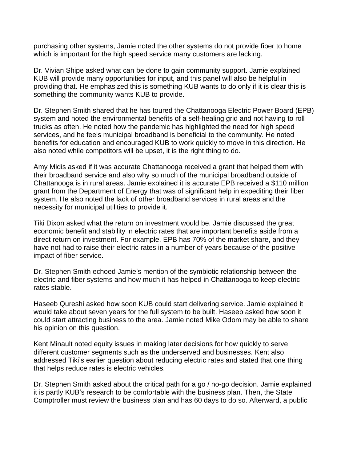purchasing other systems, Jamie noted the other systems do not provide fiber to home which is important for the high speed service many customers are lacking.

Dr. Vivian Shipe asked what can be done to gain community support. Jamie explained KUB will provide many opportunities for input, and this panel will also be helpful in providing that. He emphasized this is something KUB wants to do only if it is clear this is something the community wants KUB to provide.

Dr. Stephen Smith shared that he has toured the Chattanooga Electric Power Board (EPB) system and noted the environmental benefits of a self-healing grid and not having to roll trucks as often. He noted how the pandemic has highlighted the need for high speed services, and he feels municipal broadband is beneficial to the community. He noted benefits for education and encouraged KUB to work quickly to move in this direction. He also noted while competitors will be upset, it is the right thing to do.

Amy Midis asked if it was accurate Chattanooga received a grant that helped them with their broadband service and also why so much of the municipal broadband outside of Chattanooga is in rural areas. Jamie explained it is accurate EPB received a \$110 million grant from the Department of Energy that was of significant help in expediting their fiber system. He also noted the lack of other broadband services in rural areas and the necessity for municipal utilities to provide it.

Tiki Dixon asked what the return on investment would be. Jamie discussed the great economic benefit and stability in electric rates that are important benefits aside from a direct return on investment. For example, EPB has 70% of the market share, and they have not had to raise their electric rates in a number of years because of the positive impact of fiber service.

Dr. Stephen Smith echoed Jamie's mention of the symbiotic relationship between the electric and fiber systems and how much it has helped in Chattanooga to keep electric rates stable.

Haseeb Qureshi asked how soon KUB could start delivering service. Jamie explained it would take about seven years for the full system to be built. Haseeb asked how soon it could start attracting business to the area. Jamie noted Mike Odom may be able to share his opinion on this question.

Kent Minault noted equity issues in making later decisions for how quickly to serve different customer segments such as the underserved and businesses. Kent also addressed Tiki's earlier question about reducing electric rates and stated that one thing that helps reduce rates is electric vehicles.

Dr. Stephen Smith asked about the critical path for a go / no-go decision. Jamie explained it is partly KUB's research to be comfortable with the business plan. Then, the State Comptroller must review the business plan and has 60 days to do so. Afterward, a public